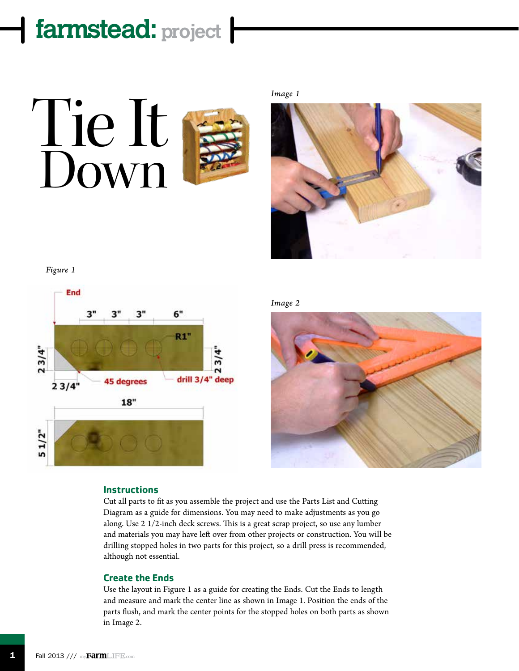

*Image 1*



*Figure 1*



*Image 2*



### **Instructions**

Cut all parts to fit as you assemble the project and use the Parts List and Cutting Diagram as a guide for dimensions. You may need to make adjustments as you go along. Use 2 1/2-inch deck screws. This is a great scrap project, so use any lumber and materials you may have left over from other projects or construction. You will be drilling stopped holes in two parts for this project, so a drill press is recommended, although not essential.

### **Create the Ends**

Use the layout in Figure 1 as a guide for creating the Ends. Cut the Ends to length and measure and mark the center line as shown in Image 1. Position the ends of the parts flush, and mark the center points for the stopped holes on both parts as shown in Image 2.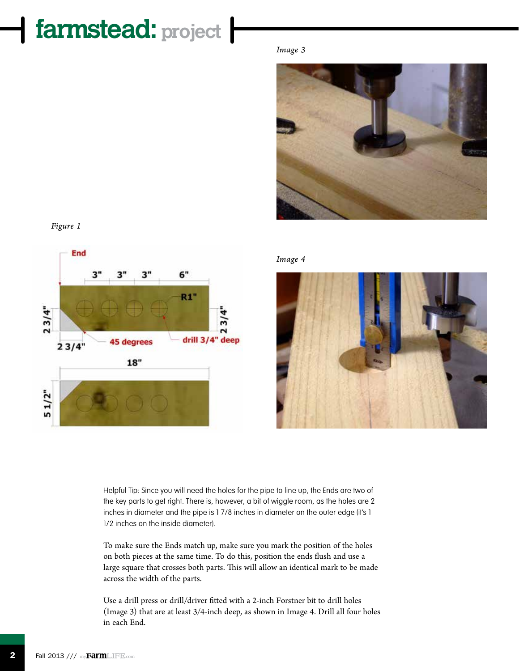### *Image 3*







*Image 4*



Helpful Tip: Since you will need the holes for the pipe to line up, the Ends are two of the key parts to get right. There is, however, a bit of wiggle room, as the holes are 2 inches in diameter and the pipe is 1 7/8 inches in diameter on the outer edge (it's 1 1/2 inches on the inside diameter).

To make sure the Ends match up, make sure you mark the position of the holes on both pieces at the same time. To do this, position the ends flush and use a large square that crosses both parts. This will allow an identical mark to be made across the width of the parts.

Use a drill press or drill/driver fitted with a 2-inch Forstner bit to drill holes (Image 3) that are at least 3/4-inch deep, as shown in Image 4. Drill all four holes in each End.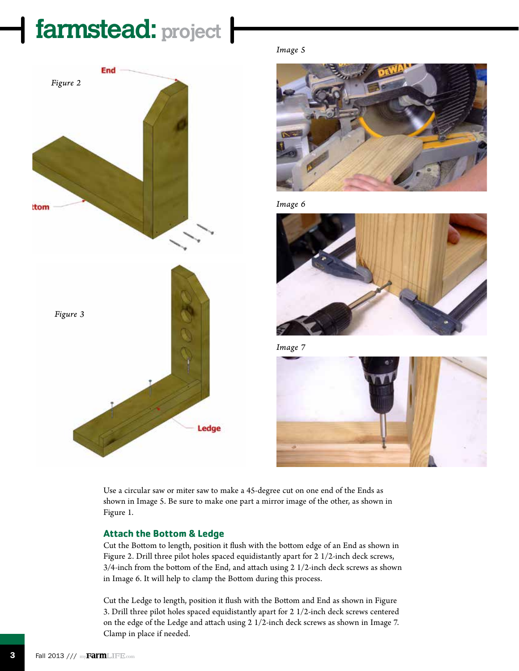



*Image 5*



*Image 6*



*Image 7*



Use a circular saw or miter saw to make a 45-degree cut on one end of the Ends as shown in Image 5. Be sure to make one part a mirror image of the other, as shown in Figure 1.

### **Attach the Bottom & Ledge**

Cut the Bottom to length, position it flush with the bottom edge of an End as shown in Figure 2. Drill three pilot holes spaced equidistantly apart for 2 1/2-inch deck screws, 3/4-inch from the bottom of the End, and attach using 2 1/2-inch deck screws as shown in Image 6. It will help to clamp the Bottom during this process.

Cut the Ledge to length, position it flush with the Bottom and End as shown in Figure 3. Drill three pilot holes spaced equidistantly apart for 2 1/2-inch deck screws centered on the edge of the Ledge and attach using 2 1/2-inch deck screws as shown in Image 7. Clamp in place if needed.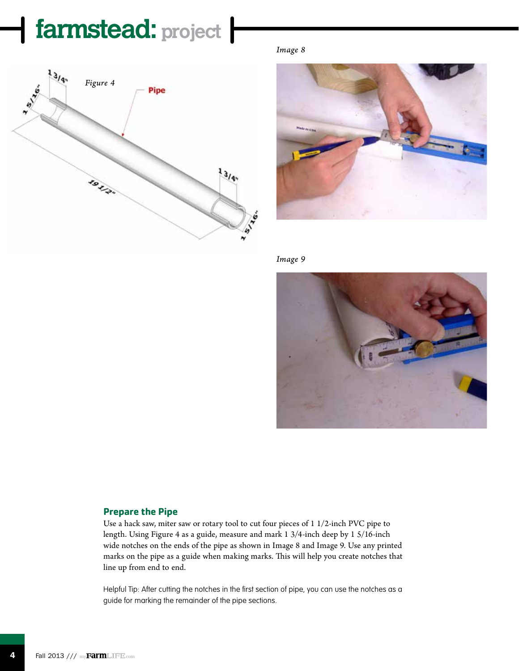

*Image 8*



*Image 9*



### **Prepare the Pipe**

Use a hack saw, miter saw or rotary tool to cut four pieces of 1 1/2-inch PVC pipe to length. Using Figure 4 as a guide, measure and mark 1 3/4-inch deep by 1 5/16-inch wide notches on the ends of the pipe as shown in Image 8 and Image 9. Use any printed marks on the pipe as a guide when making marks. This will help you create notches that line up from end to end.

Helpful Tip: After cutting the notches in the first section of pipe, you can use the notches as a guide for marking the remainder of the pipe sections.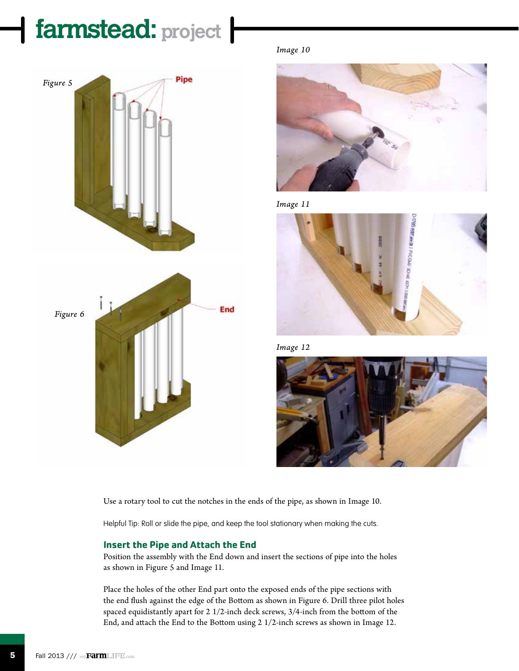







*Image 11*



*Image 12*



Use a rotary tool to cut the notches in the ends of the pipe, as shown in Image 10.

Helpful Tip: Roll or slide the pipe, and keep the tool stationary when making the cuts.

### **Insert the Pipe and Attach the End**

Position the assembly with the End down and insert the sections of pipe into the holes as shown in Figure 5 and Image 11.

Place the holes of the other End part onto the exposed ends of the pipe sections with the end flush against the edge of the Bottom as shown in Figure 6. Drill three pilot holes spaced equidistantly apart for 2 1/2-inch deck screws, 3/4-inch from the bottom of the End, and attach the End to the Bottom using 2 1/2-inch screws as shown in Image 12.